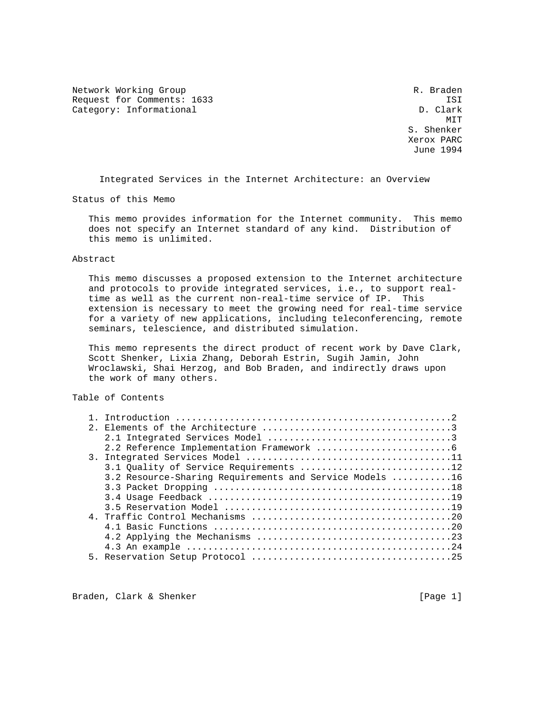Network Working Group and the set of the set of the set of the R. Braden Request for Comments: 1633 ISI<br>Category: Informational D. Clark Category: Informational

MIT **MIT**  S. Shenker Xerox PARC June 1994

Integrated Services in the Internet Architecture: an Overview

Status of this Memo

 This memo provides information for the Internet community. This memo does not specify an Internet standard of any kind. Distribution of this memo is unlimited.

# Abstract

 This memo discusses a proposed extension to the Internet architecture and protocols to provide integrated services, i.e., to support real time as well as the current non-real-time service of IP. This extension is necessary to meet the growing need for real-time service for a variety of new applications, including teleconferencing, remote seminars, telescience, and distributed simulation.

 This memo represents the direct product of recent work by Dave Clark, Scott Shenker, Lixia Zhang, Deborah Estrin, Sugih Jamin, John Wroclawski, Shai Herzog, and Bob Braden, and indirectly draws upon the work of many others.

# Table of Contents

|  | 3.2 Resource-Sharing Requirements and Service Models 16 |
|--|---------------------------------------------------------|
|  |                                                         |
|  |                                                         |
|  |                                                         |
|  |                                                         |
|  |                                                         |
|  |                                                         |
|  |                                                         |
|  |                                                         |
|  |                                                         |

Braden, Clark & Shenker [Page 1]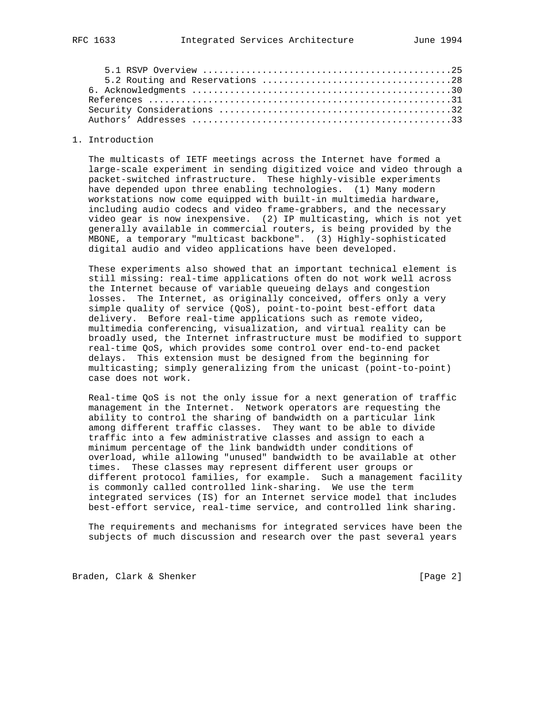#### 1. Introduction

 The multicasts of IETF meetings across the Internet have formed a large-scale experiment in sending digitized voice and video through a packet-switched infrastructure. These highly-visible experiments have depended upon three enabling technologies. (1) Many modern workstations now come equipped with built-in multimedia hardware, including audio codecs and video frame-grabbers, and the necessary video gear is now inexpensive. (2) IP multicasting, which is not yet generally available in commercial routers, is being provided by the MBONE, a temporary "multicast backbone". (3) Highly-sophisticated digital audio and video applications have been developed.

 These experiments also showed that an important technical element is still missing: real-time applications often do not work well across the Internet because of variable queueing delays and congestion losses. The Internet, as originally conceived, offers only a very simple quality of service (QoS), point-to-point best-effort data delivery. Before real-time applications such as remote video, multimedia conferencing, visualization, and virtual reality can be broadly used, the Internet infrastructure must be modified to support real-time QoS, which provides some control over end-to-end packet delays. This extension must be designed from the beginning for multicasting; simply generalizing from the unicast (point-to-point) case does not work.

 Real-time QoS is not the only issue for a next generation of traffic management in the Internet. Network operators are requesting the ability to control the sharing of bandwidth on a particular link among different traffic classes. They want to be able to divide traffic into a few administrative classes and assign to each a minimum percentage of the link bandwidth under conditions of overload, while allowing "unused" bandwidth to be available at other times. These classes may represent different user groups or different protocol families, for example. Such a management facility is commonly called controlled link-sharing. We use the term integrated services (IS) for an Internet service model that includes best-effort service, real-time service, and controlled link sharing.

 The requirements and mechanisms for integrated services have been the subjects of much discussion and research over the past several years

Braden, Clark & Shenker [Page 2]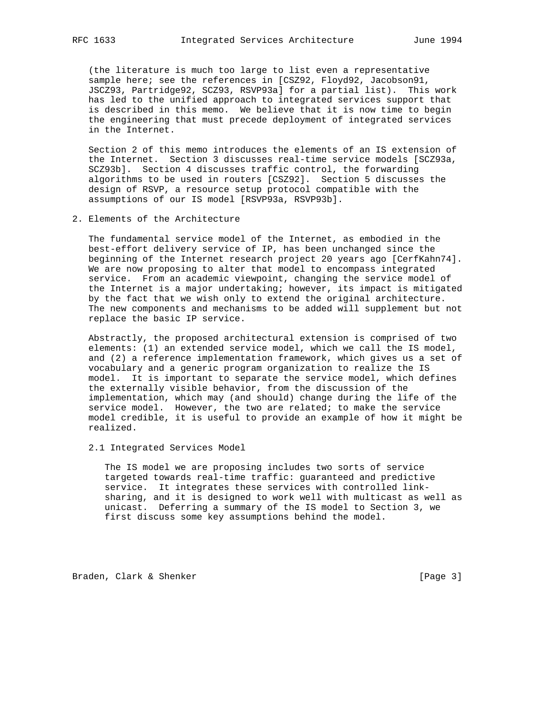(the literature is much too large to list even a representative sample here; see the references in [CSZ92, Floyd92, Jacobson91, JSCZ93, Partridge92, SCZ93, RSVP93a] for a partial list). This work has led to the unified approach to integrated services support that is described in this memo. We believe that it is now time to begin the engineering that must precede deployment of integrated services in the Internet.

 Section 2 of this memo introduces the elements of an IS extension of the Internet. Section 3 discusses real-time service models [SCZ93a, SCZ93b]. Section 4 discusses traffic control, the forwarding algorithms to be used in routers [CSZ92]. Section 5 discusses the design of RSVP, a resource setup protocol compatible with the assumptions of our IS model [RSVP93a, RSVP93b].

2. Elements of the Architecture

 The fundamental service model of the Internet, as embodied in the best-effort delivery service of IP, has been unchanged since the beginning of the Internet research project 20 years ago [CerfKahn74]. We are now proposing to alter that model to encompass integrated service. From an academic viewpoint, changing the service model of the Internet is a major undertaking; however, its impact is mitigated by the fact that we wish only to extend the original architecture. The new components and mechanisms to be added will supplement but not replace the basic IP service.

 Abstractly, the proposed architectural extension is comprised of two elements: (1) an extended service model, which we call the IS model, and (2) a reference implementation framework, which gives us a set of vocabulary and a generic program organization to realize the IS model. It is important to separate the service model, which defines the externally visible behavior, from the discussion of the implementation, which may (and should) change during the life of the service model. However, the two are related; to make the service model credible, it is useful to provide an example of how it might be realized.

2.1 Integrated Services Model

 The IS model we are proposing includes two sorts of service targeted towards real-time traffic: guaranteed and predictive service. It integrates these services with controlled link sharing, and it is designed to work well with multicast as well as unicast. Deferring a summary of the IS model to Section 3, we first discuss some key assumptions behind the model.

Braden, Clark & Shenker [Page 3]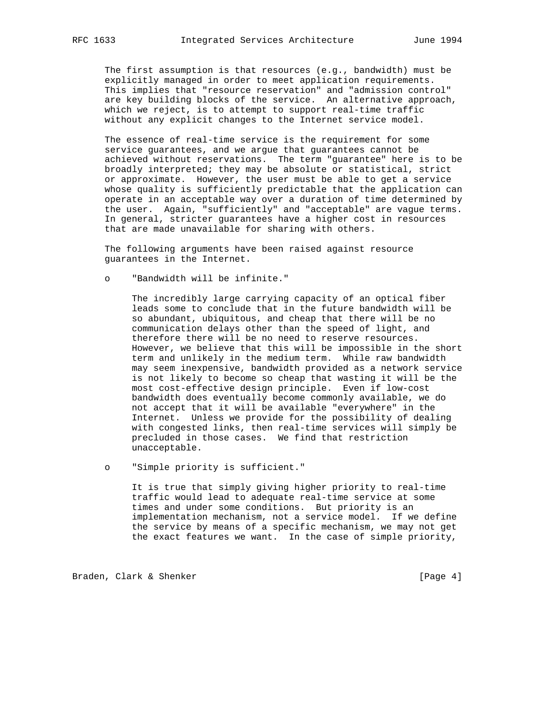The first assumption is that resources (e.g., bandwidth) must be explicitly managed in order to meet application requirements. This implies that "resource reservation" and "admission control" are key building blocks of the service. An alternative approach, which we reject, is to attempt to support real-time traffic without any explicit changes to the Internet service model.

 The essence of real-time service is the requirement for some service guarantees, and we argue that guarantees cannot be achieved without reservations. The term "guarantee" here is to be broadly interpreted; they may be absolute or statistical, strict or approximate. However, the user must be able to get a service whose quality is sufficiently predictable that the application can operate in an acceptable way over a duration of time determined by the user. Again, "sufficiently" and "acceptable" are vague terms. In general, stricter guarantees have a higher cost in resources that are made unavailable for sharing with others.

 The following arguments have been raised against resource guarantees in the Internet.

o "Bandwidth will be infinite."

 The incredibly large carrying capacity of an optical fiber leads some to conclude that in the future bandwidth will be so abundant, ubiquitous, and cheap that there will be no communication delays other than the speed of light, and therefore there will be no need to reserve resources. However, we believe that this will be impossible in the short term and unlikely in the medium term. While raw bandwidth may seem inexpensive, bandwidth provided as a network service is not likely to become so cheap that wasting it will be the most cost-effective design principle. Even if low-cost bandwidth does eventually become commonly available, we do not accept that it will be available "everywhere" in the Internet. Unless we provide for the possibility of dealing with congested links, then real-time services will simply be precluded in those cases. We find that restriction unacceptable.

o "Simple priority is sufficient."

 It is true that simply giving higher priority to real-time traffic would lead to adequate real-time service at some times and under some conditions. But priority is an implementation mechanism, not a service model. If we define the service by means of a specific mechanism, we may not get the exact features we want. In the case of simple priority,

Braden, Clark & Shenker [Page 4]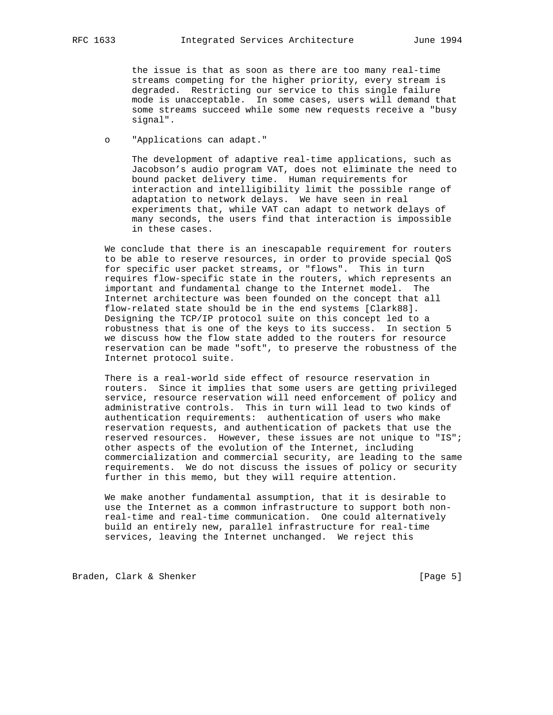the issue is that as soon as there are too many real-time streams competing for the higher priority, every stream is degraded. Restricting our service to this single failure mode is unacceptable. In some cases, users will demand that some streams succeed while some new requests receive a "busy signal".

o "Applications can adapt."

 The development of adaptive real-time applications, such as Jacobson's audio program VAT, does not eliminate the need to bound packet delivery time. Human requirements for interaction and intelligibility limit the possible range of adaptation to network delays. We have seen in real experiments that, while VAT can adapt to network delays of many seconds, the users find that interaction is impossible in these cases.

 We conclude that there is an inescapable requirement for routers to be able to reserve resources, in order to provide special QoS for specific user packet streams, or "flows". This in turn requires flow-specific state in the routers, which represents an important and fundamental change to the Internet model. The Internet architecture was been founded on the concept that all flow-related state should be in the end systems [Clark88]. Designing the TCP/IP protocol suite on this concept led to a robustness that is one of the keys to its success. In section 5 we discuss how the flow state added to the routers for resource reservation can be made "soft", to preserve the robustness of the Internet protocol suite.

 There is a real-world side effect of resource reservation in routers. Since it implies that some users are getting privileged service, resource reservation will need enforcement of policy and administrative controls. This in turn will lead to two kinds of authentication requirements: authentication of users who make reservation requests, and authentication of packets that use the reserved resources. However, these issues are not unique to "IS"; other aspects of the evolution of the Internet, including commercialization and commercial security, are leading to the same requirements. We do not discuss the issues of policy or security further in this memo, but they will require attention.

 We make another fundamental assumption, that it is desirable to use the Internet as a common infrastructure to support both non real-time and real-time communication. One could alternatively build an entirely new, parallel infrastructure for real-time services, leaving the Internet unchanged. We reject this

Braden, Clark & Shenker [Page 5]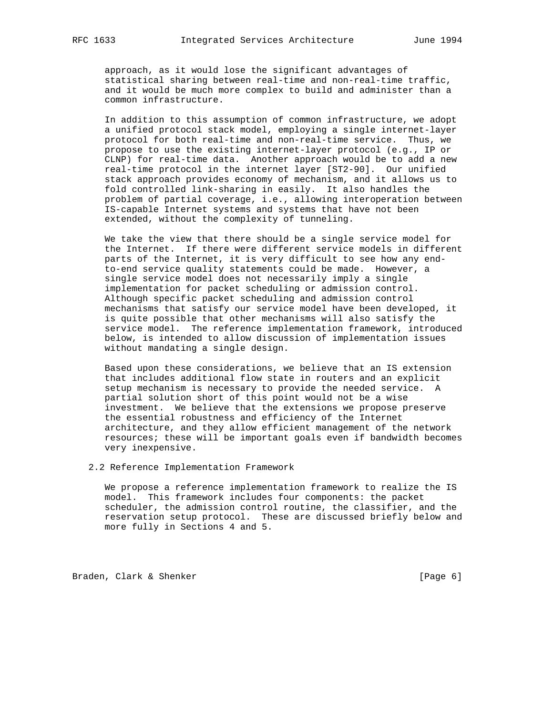approach, as it would lose the significant advantages of statistical sharing between real-time and non-real-time traffic, and it would be much more complex to build and administer than a common infrastructure.

 In addition to this assumption of common infrastructure, we adopt a unified protocol stack model, employing a single internet-layer protocol for both real-time and non-real-time service. Thus, we propose to use the existing internet-layer protocol (e.g., IP or CLNP) for real-time data. Another approach would be to add a new real-time protocol in the internet layer [ST2-90]. Our unified stack approach provides economy of mechanism, and it allows us to fold controlled link-sharing in easily. It also handles the problem of partial coverage, i.e., allowing interoperation between IS-capable Internet systems and systems that have not been extended, without the complexity of tunneling.

 We take the view that there should be a single service model for the Internet. If there were different service models in different parts of the Internet, it is very difficult to see how any end to-end service quality statements could be made. However, a single service model does not necessarily imply a single implementation for packet scheduling or admission control. Although specific packet scheduling and admission control mechanisms that satisfy our service model have been developed, it is quite possible that other mechanisms will also satisfy the service model. The reference implementation framework, introduced below, is intended to allow discussion of implementation issues without mandating a single design.

 Based upon these considerations, we believe that an IS extension that includes additional flow state in routers and an explicit setup mechanism is necessary to provide the needed service. A partial solution short of this point would not be a wise investment. We believe that the extensions we propose preserve the essential robustness and efficiency of the Internet architecture, and they allow efficient management of the network resources; these will be important goals even if bandwidth becomes very inexpensive.

2.2 Reference Implementation Framework

 We propose a reference implementation framework to realize the IS model. This framework includes four components: the packet scheduler, the admission control routine, the classifier, and the reservation setup protocol. These are discussed briefly below and more fully in Sections 4 and 5.

Braden, Clark & Shenker [Page 6]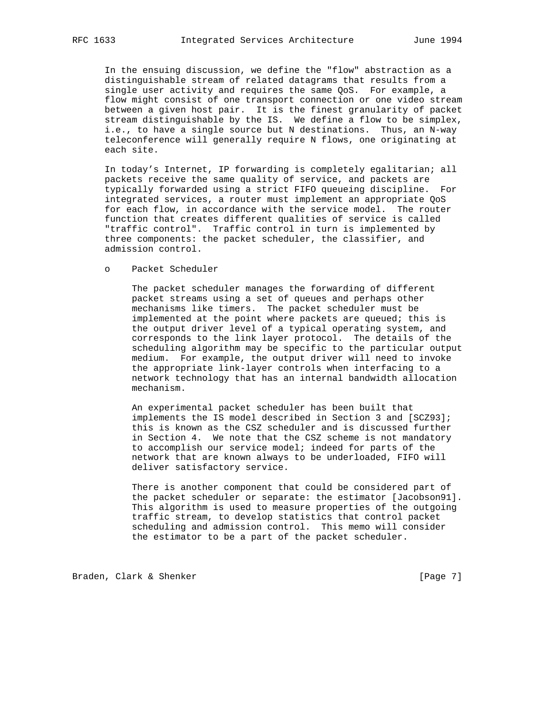In the ensuing discussion, we define the "flow" abstraction as a distinguishable stream of related datagrams that results from a single user activity and requires the same QoS. For example, a flow might consist of one transport connection or one video stream between a given host pair. It is the finest granularity of packet stream distinguishable by the IS. We define a flow to be simplex, i.e., to have a single source but N destinations. Thus, an N-way teleconference will generally require N flows, one originating at each site.

 In today's Internet, IP forwarding is completely egalitarian; all packets receive the same quality of service, and packets are typically forwarded using a strict FIFO queueing discipline. For integrated services, a router must implement an appropriate QoS for each flow, in accordance with the service model. The router function that creates different qualities of service is called "traffic control". Traffic control in turn is implemented by three components: the packet scheduler, the classifier, and admission control.

o Packet Scheduler

 The packet scheduler manages the forwarding of different packet streams using a set of queues and perhaps other mechanisms like timers. The packet scheduler must be implemented at the point where packets are queued; this is the output driver level of a typical operating system, and corresponds to the link layer protocol. The details of the scheduling algorithm may be specific to the particular output medium. For example, the output driver will need to invoke the appropriate link-layer controls when interfacing to a network technology that has an internal bandwidth allocation mechanism.

 An experimental packet scheduler has been built that implements the IS model described in Section 3 and [SCZ93]; this is known as the CSZ scheduler and is discussed further in Section 4. We note that the CSZ scheme is not mandatory to accomplish our service model; indeed for parts of the network that are known always to be underloaded, FIFO will deliver satisfactory service.

 There is another component that could be considered part of the packet scheduler or separate: the estimator [Jacobson91]. This algorithm is used to measure properties of the outgoing traffic stream, to develop statistics that control packet scheduling and admission control. This memo will consider the estimator to be a part of the packet scheduler.

Braden, Clark & Shenker [Page 7]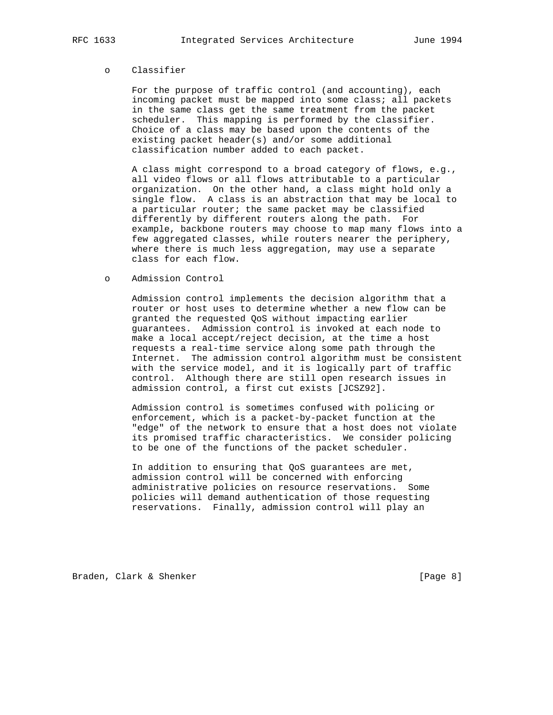## o Classifier

 For the purpose of traffic control (and accounting), each incoming packet must be mapped into some class; all packets in the same class get the same treatment from the packet scheduler. This mapping is performed by the classifier. Choice of a class may be based upon the contents of the existing packet header(s) and/or some additional classification number added to each packet.

 A class might correspond to a broad category of flows, e.g., all video flows or all flows attributable to a particular organization. On the other hand, a class might hold only a single flow. A class is an abstraction that may be local to a particular router; the same packet may be classified differently by different routers along the path. For example, backbone routers may choose to map many flows into a few aggregated classes, while routers nearer the periphery, where there is much less aggregation, may use a separate class for each flow.

#### o Admission Control

 Admission control implements the decision algorithm that a router or host uses to determine whether a new flow can be granted the requested QoS without impacting earlier guarantees. Admission control is invoked at each node to make a local accept/reject decision, at the time a host requests a real-time service along some path through the Internet. The admission control algorithm must be consistent with the service model, and it is logically part of traffic control. Although there are still open research issues in admission control, a first cut exists [JCSZ92].

 Admission control is sometimes confused with policing or enforcement, which is a packet-by-packet function at the "edge" of the network to ensure that a host does not violate its promised traffic characteristics. We consider policing to be one of the functions of the packet scheduler.

 In addition to ensuring that QoS guarantees are met, admission control will be concerned with enforcing administrative policies on resource reservations. Some policies will demand authentication of those requesting reservations. Finally, admission control will play an

Braden, Clark & Shenker [Page 8]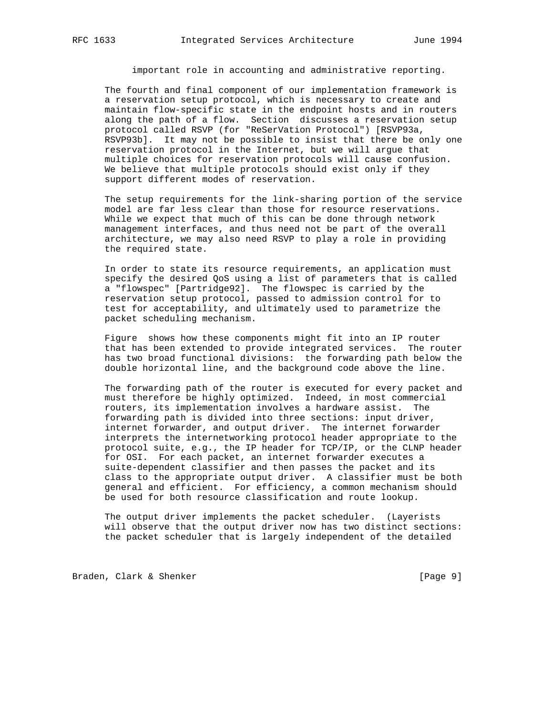important role in accounting and administrative reporting.

 The fourth and final component of our implementation framework is a reservation setup protocol, which is necessary to create and maintain flow-specific state in the endpoint hosts and in routers along the path of a flow. Section discusses a reservation setup protocol called RSVP (for "ReSerVation Protocol") [RSVP93a, RSVP93b]. It may not be possible to insist that there be only one reservation protocol in the Internet, but we will argue that multiple choices for reservation protocols will cause confusion. We believe that multiple protocols should exist only if they support different modes of reservation.

 The setup requirements for the link-sharing portion of the service model are far less clear than those for resource reservations. While we expect that much of this can be done through network management interfaces, and thus need not be part of the overall architecture, we may also need RSVP to play a role in providing the required state.

 In order to state its resource requirements, an application must specify the desired QoS using a list of parameters that is called a "flowspec" [Partridge92]. The flowspec is carried by the reservation setup protocol, passed to admission control for to test for acceptability, and ultimately used to parametrize the packet scheduling mechanism.

 Figure shows how these components might fit into an IP router that has been extended to provide integrated services. The router has two broad functional divisions: the forwarding path below the double horizontal line, and the background code above the line.

 The forwarding path of the router is executed for every packet and must therefore be highly optimized. Indeed, in most commercial routers, its implementation involves a hardware assist. The forwarding path is divided into three sections: input driver, internet forwarder, and output driver. The internet forwarder interprets the internetworking protocol header appropriate to the protocol suite, e.g., the IP header for TCP/IP, or the CLNP header for OSI. For each packet, an internet forwarder executes a suite-dependent classifier and then passes the packet and its class to the appropriate output driver. A classifier must be both general and efficient. For efficiency, a common mechanism should be used for both resource classification and route lookup.

 The output driver implements the packet scheduler. (Layerists will observe that the output driver now has two distinct sections: the packet scheduler that is largely independent of the detailed

Braden, Clark & Shenker [Page 9]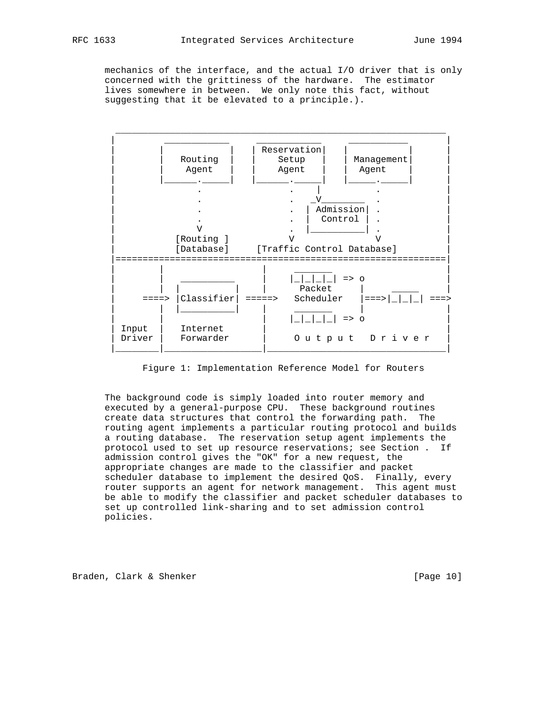mechanics of the interface, and the actual I/O driver that is only concerned with the grittiness of the hardware. The estimator lives somewhere in between. We only note this fact, without suggesting that it be elevated to a principle.).



Figure 1: Implementation Reference Model for Routers

 The background code is simply loaded into router memory and executed by a general-purpose CPU. These background routines create data structures that control the forwarding path. The routing agent implements a particular routing protocol and builds a routing database. The reservation setup agent implements the protocol used to set up resource reservations; see Section . If admission control gives the "OK" for a new request, the appropriate changes are made to the classifier and packet scheduler database to implement the desired QoS. Finally, every router supports an agent for network management. This agent must be able to modify the classifier and packet scheduler databases to set up controlled link-sharing and to set admission control policies.

Braden, Clark & Shenker [Page 10]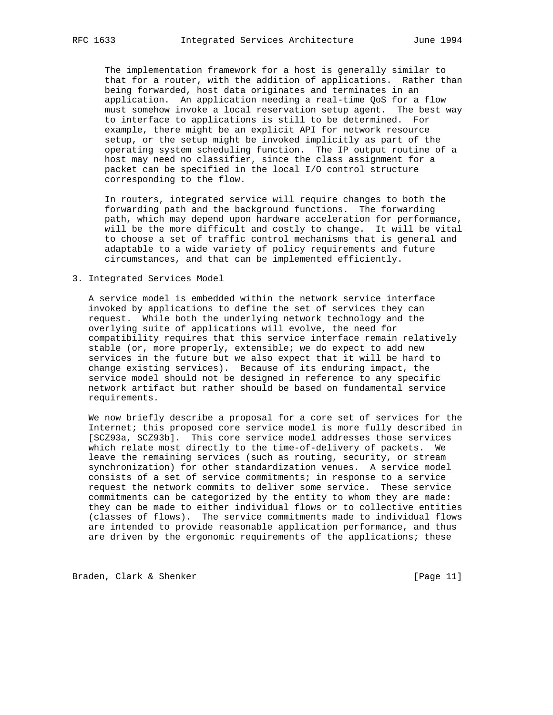The implementation framework for a host is generally similar to that for a router, with the addition of applications. Rather than being forwarded, host data originates and terminates in an application. An application needing a real-time QoS for a flow must somehow invoke a local reservation setup agent. The best way to interface to applications is still to be determined. For example, there might be an explicit API for network resource setup, or the setup might be invoked implicitly as part of the operating system scheduling function. The IP output routine of a host may need no classifier, since the class assignment for a packet can be specified in the local I/O control structure corresponding to the flow.

 In routers, integrated service will require changes to both the forwarding path and the background functions. The forwarding path, which may depend upon hardware acceleration for performance, will be the more difficult and costly to change. It will be vital to choose a set of traffic control mechanisms that is general and adaptable to a wide variety of policy requirements and future circumstances, and that can be implemented efficiently.

3. Integrated Services Model

 A service model is embedded within the network service interface invoked by applications to define the set of services they can request. While both the underlying network technology and the overlying suite of applications will evolve, the need for compatibility requires that this service interface remain relatively stable (or, more properly, extensible; we do expect to add new services in the future but we also expect that it will be hard to change existing services). Because of its enduring impact, the service model should not be designed in reference to any specific network artifact but rather should be based on fundamental service requirements.

 We now briefly describe a proposal for a core set of services for the Internet; this proposed core service model is more fully described in [SCZ93a, SCZ93b]. This core service model addresses those services which relate most directly to the time-of-delivery of packets. We leave the remaining services (such as routing, security, or stream synchronization) for other standardization venues. A service model consists of a set of service commitments; in response to a service request the network commits to deliver some service. These service commitments can be categorized by the entity to whom they are made: they can be made to either individual flows or to collective entities (classes of flows). The service commitments made to individual flows are intended to provide reasonable application performance, and thus are driven by the ergonomic requirements of the applications; these

Braden, Clark & Shenker [Page 11]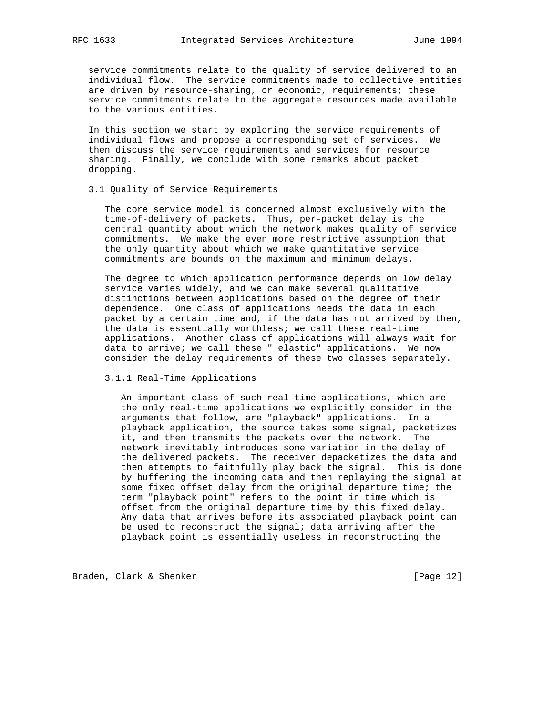service commitments relate to the quality of service delivered to an individual flow. The service commitments made to collective entities are driven by resource-sharing, or economic, requirements; these service commitments relate to the aggregate resources made available to the various entities.

 In this section we start by exploring the service requirements of individual flows and propose a corresponding set of services. We then discuss the service requirements and services for resource sharing. Finally, we conclude with some remarks about packet dropping.

## 3.1 Quality of Service Requirements

 The core service model is concerned almost exclusively with the time-of-delivery of packets. Thus, per-packet delay is the central quantity about which the network makes quality of service commitments. We make the even more restrictive assumption that the only quantity about which we make quantitative service commitments are bounds on the maximum and minimum delays.

 The degree to which application performance depends on low delay service varies widely, and we can make several qualitative distinctions between applications based on the degree of their dependence. One class of applications needs the data in each packet by a certain time and, if the data has not arrived by then, the data is essentially worthless; we call these real-time applications. Another class of applications will always wait for data to arrive; we call these " elastic" applications. We now consider the delay requirements of these two classes separately.

3.1.1 Real-Time Applications

 An important class of such real-time applications, which are the only real-time applications we explicitly consider in the arguments that follow, are "playback" applications. In a playback application, the source takes some signal, packetizes it, and then transmits the packets over the network. The network inevitably introduces some variation in the delay of the delivered packets. The receiver depacketizes the data and then attempts to faithfully play back the signal. This is done by buffering the incoming data and then replaying the signal at some fixed offset delay from the original departure time; the term "playback point" refers to the point in time which is offset from the original departure time by this fixed delay. Any data that arrives before its associated playback point can be used to reconstruct the signal; data arriving after the playback point is essentially useless in reconstructing the

Braden, Clark & Shenker [Page 12]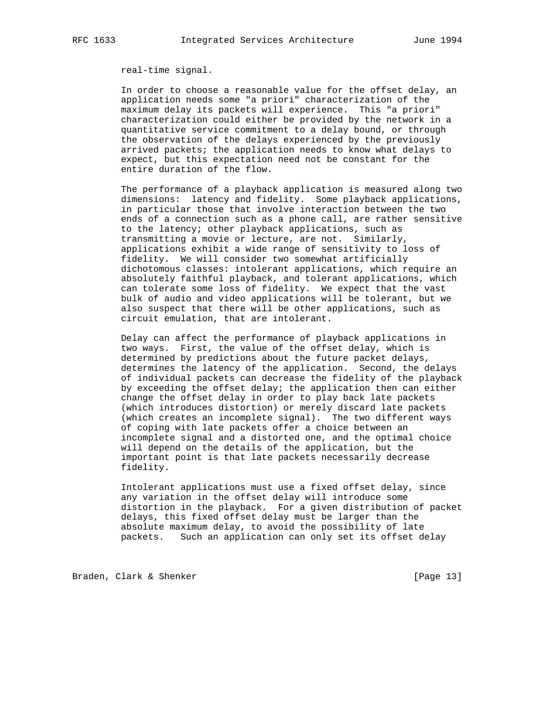real-time signal.

 In order to choose a reasonable value for the offset delay, an application needs some "a priori" characterization of the maximum delay its packets will experience. This "a priori" characterization could either be provided by the network in a quantitative service commitment to a delay bound, or through the observation of the delays experienced by the previously arrived packets; the application needs to know what delays to expect, but this expectation need not be constant for the entire duration of the flow.

 The performance of a playback application is measured along two dimensions: latency and fidelity. Some playback applications, in particular those that involve interaction between the two ends of a connection such as a phone call, are rather sensitive to the latency; other playback applications, such as transmitting a movie or lecture, are not. Similarly, applications exhibit a wide range of sensitivity to loss of fidelity. We will consider two somewhat artificially dichotomous classes: intolerant applications, which require an absolutely faithful playback, and tolerant applications, which can tolerate some loss of fidelity. We expect that the vast bulk of audio and video applications will be tolerant, but we also suspect that there will be other applications, such as circuit emulation, that are intolerant.

 Delay can affect the performance of playback applications in two ways. First, the value of the offset delay, which is determined by predictions about the future packet delays, determines the latency of the application. Second, the delays of individual packets can decrease the fidelity of the playback by exceeding the offset delay; the application then can either change the offset delay in order to play back late packets (which introduces distortion) or merely discard late packets (which creates an incomplete signal). The two different ways of coping with late packets offer a choice between an incomplete signal and a distorted one, and the optimal choice will depend on the details of the application, but the important point is that late packets necessarily decrease fidelity.

 Intolerant applications must use a fixed offset delay, since any variation in the offset delay will introduce some distortion in the playback. For a given distribution of packet delays, this fixed offset delay must be larger than the absolute maximum delay, to avoid the possibility of late packets. Such an application can only set its offset delay

Braden, Clark & Shenker [Page 13]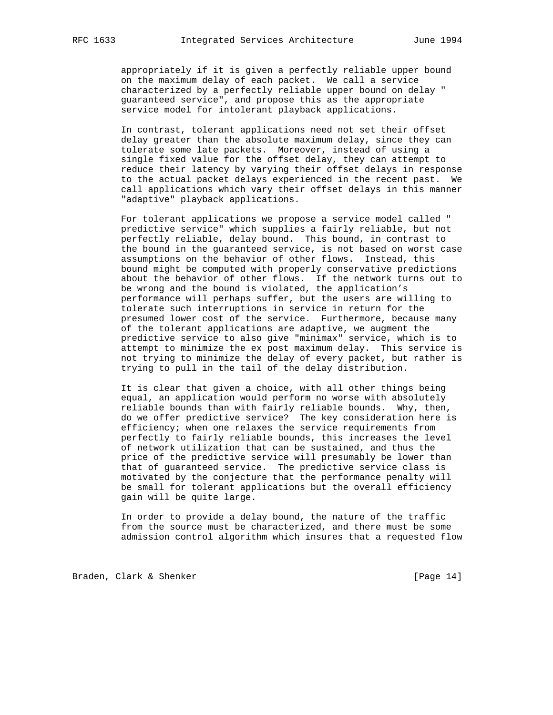appropriately if it is given a perfectly reliable upper bound on the maximum delay of each packet. We call a service characterized by a perfectly reliable upper bound on delay " guaranteed service", and propose this as the appropriate service model for intolerant playback applications.

 In contrast, tolerant applications need not set their offset delay greater than the absolute maximum delay, since they can tolerate some late packets. Moreover, instead of using a single fixed value for the offset delay, they can attempt to reduce their latency by varying their offset delays in response to the actual packet delays experienced in the recent past. We call applications which vary their offset delays in this manner "adaptive" playback applications.

 For tolerant applications we propose a service model called " predictive service" which supplies a fairly reliable, but not perfectly reliable, delay bound. This bound, in contrast to the bound in the guaranteed service, is not based on worst case assumptions on the behavior of other flows. Instead, this bound might be computed with properly conservative predictions about the behavior of other flows. If the network turns out to be wrong and the bound is violated, the application's performance will perhaps suffer, but the users are willing to tolerate such interruptions in service in return for the presumed lower cost of the service. Furthermore, because many of the tolerant applications are adaptive, we augment the predictive service to also give "minimax" service, which is to attempt to minimize the ex post maximum delay. This service is not trying to minimize the delay of every packet, but rather is trying to pull in the tail of the delay distribution.

 It is clear that given a choice, with all other things being equal, an application would perform no worse with absolutely reliable bounds than with fairly reliable bounds. Why, then, do we offer predictive service? The key consideration here is efficiency; when one relaxes the service requirements from perfectly to fairly reliable bounds, this increases the level of network utilization that can be sustained, and thus the price of the predictive service will presumably be lower than that of guaranteed service. The predictive service class is motivated by the conjecture that the performance penalty will be small for tolerant applications but the overall efficiency gain will be quite large.

 In order to provide a delay bound, the nature of the traffic from the source must be characterized, and there must be some admission control algorithm which insures that a requested flow

Braden, Clark & Shenker [Page 14]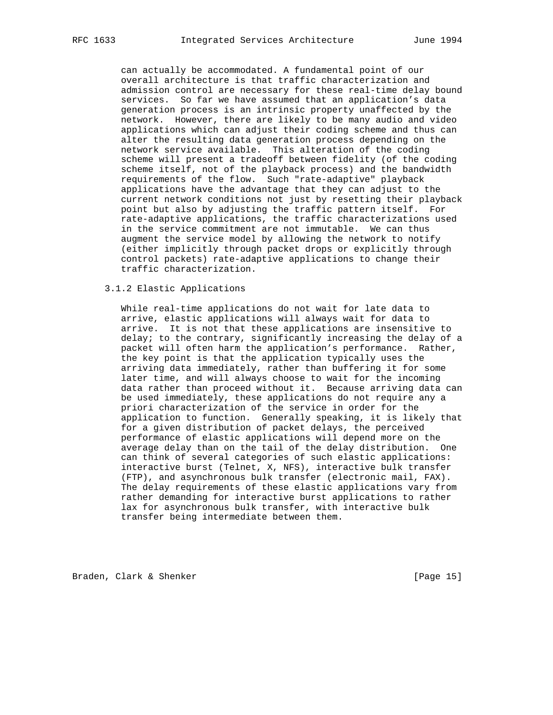can actually be accommodated. A fundamental point of our overall architecture is that traffic characterization and admission control are necessary for these real-time delay bound services. So far we have assumed that an application's data generation process is an intrinsic property unaffected by the network. However, there are likely to be many audio and video applications which can adjust their coding scheme and thus can alter the resulting data generation process depending on the network service available. This alteration of the coding scheme will present a tradeoff between fidelity (of the coding scheme itself, not of the playback process) and the bandwidth requirements of the flow. Such "rate-adaptive" playback applications have the advantage that they can adjust to the current network conditions not just by resetting their playback point but also by adjusting the traffic pattern itself. For rate-adaptive applications, the traffic characterizations used in the service commitment are not immutable. We can thus augment the service model by allowing the network to notify (either implicitly through packet drops or explicitly through control packets) rate-adaptive applications to change their traffic characterization.

## 3.1.2 Elastic Applications

 While real-time applications do not wait for late data to arrive, elastic applications will always wait for data to arrive. It is not that these applications are insensitive to delay; to the contrary, significantly increasing the delay of a packet will often harm the application's performance. Rather, the key point is that the application typically uses the arriving data immediately, rather than buffering it for some later time, and will always choose to wait for the incoming data rather than proceed without it. Because arriving data can be used immediately, these applications do not require any a priori characterization of the service in order for the application to function. Generally speaking, it is likely that for a given distribution of packet delays, the perceived performance of elastic applications will depend more on the average delay than on the tail of the delay distribution. One can think of several categories of such elastic applications: interactive burst (Telnet, X, NFS), interactive bulk transfer (FTP), and asynchronous bulk transfer (electronic mail, FAX). The delay requirements of these elastic applications vary from rather demanding for interactive burst applications to rather lax for asynchronous bulk transfer, with interactive bulk transfer being intermediate between them.

Braden, Clark & Shenker [Page 15]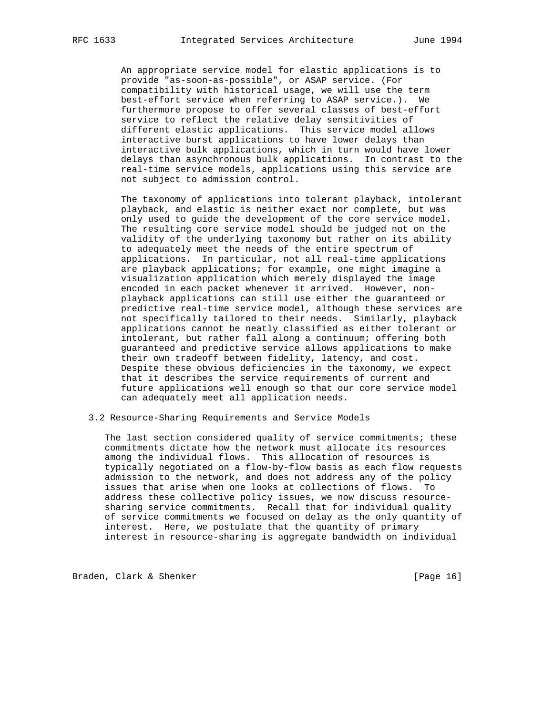An appropriate service model for elastic applications is to provide "as-soon-as-possible", or ASAP service. (For compatibility with historical usage, we will use the term best-effort service when referring to ASAP service.). We furthermore propose to offer several classes of best-effort service to reflect the relative delay sensitivities of different elastic applications. This service model allows interactive burst applications to have lower delays than interactive bulk applications, which in turn would have lower delays than asynchronous bulk applications. In contrast to the real-time service models, applications using this service are not subject to admission control.

 The taxonomy of applications into tolerant playback, intolerant playback, and elastic is neither exact nor complete, but was only used to guide the development of the core service model. The resulting core service model should be judged not on the validity of the underlying taxonomy but rather on its ability to adequately meet the needs of the entire spectrum of applications. In particular, not all real-time applications are playback applications; for example, one might imagine a visualization application which merely displayed the image encoded in each packet whenever it arrived. However, non playback applications can still use either the guaranteed or predictive real-time service model, although these services are not specifically tailored to their needs. Similarly, playback applications cannot be neatly classified as either tolerant or intolerant, but rather fall along a continuum; offering both guaranteed and predictive service allows applications to make their own tradeoff between fidelity, latency, and cost. Despite these obvious deficiencies in the taxonomy, we expect that it describes the service requirements of current and future applications well enough so that our core service model can adequately meet all application needs.

3.2 Resource-Sharing Requirements and Service Models

 The last section considered quality of service commitments; these commitments dictate how the network must allocate its resources among the individual flows. This allocation of resources is typically negotiated on a flow-by-flow basis as each flow requests admission to the network, and does not address any of the policy issues that arise when one looks at collections of flows. To address these collective policy issues, we now discuss resource sharing service commitments. Recall that for individual quality of service commitments we focused on delay as the only quantity of interest. Here, we postulate that the quantity of primary interest in resource-sharing is aggregate bandwidth on individual

Braden, Clark & Shenker [Page 16]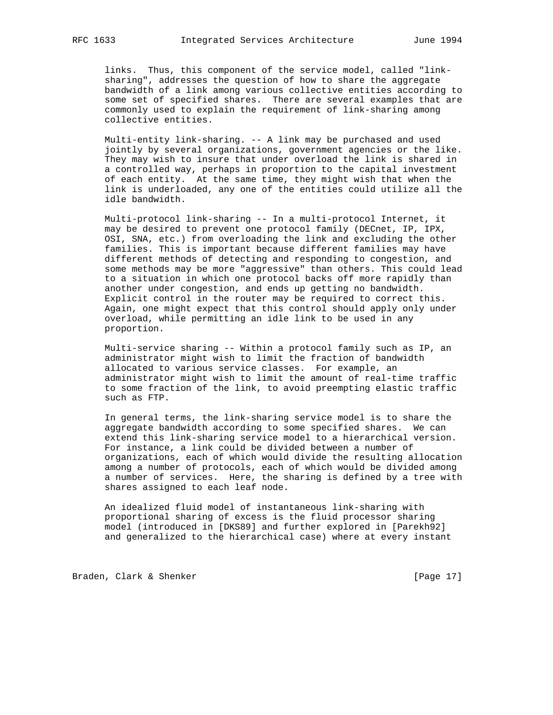links. Thus, this component of the service model, called "link sharing", addresses the question of how to share the aggregate bandwidth of a link among various collective entities according to some set of specified shares. There are several examples that are commonly used to explain the requirement of link-sharing among collective entities.

 Multi-entity link-sharing. -- A link may be purchased and used jointly by several organizations, government agencies or the like. They may wish to insure that under overload the link is shared in a controlled way, perhaps in proportion to the capital investment of each entity. At the same time, they might wish that when the link is underloaded, any one of the entities could utilize all the idle bandwidth.

 Multi-protocol link-sharing -- In a multi-protocol Internet, it may be desired to prevent one protocol family (DECnet, IP, IPX, OSI, SNA, etc.) from overloading the link and excluding the other families. This is important because different families may have different methods of detecting and responding to congestion, and some methods may be more "aggressive" than others. This could lead to a situation in which one protocol backs off more rapidly than another under congestion, and ends up getting no bandwidth. Explicit control in the router may be required to correct this. Again, one might expect that this control should apply only under overload, while permitting an idle link to be used in any proportion.

 Multi-service sharing -- Within a protocol family such as IP, an administrator might wish to limit the fraction of bandwidth allocated to various service classes. For example, an administrator might wish to limit the amount of real-time traffic to some fraction of the link, to avoid preempting elastic traffic such as FTP.

 In general terms, the link-sharing service model is to share the aggregate bandwidth according to some specified shares. We can extend this link-sharing service model to a hierarchical version. For instance, a link could be divided between a number of organizations, each of which would divide the resulting allocation among a number of protocols, each of which would be divided among a number of services. Here, the sharing is defined by a tree with shares assigned to each leaf node.

 An idealized fluid model of instantaneous link-sharing with proportional sharing of excess is the fluid processor sharing model (introduced in [DKS89] and further explored in [Parekh92] and generalized to the hierarchical case) where at every instant

Braden, Clark & Shenker [Page 17]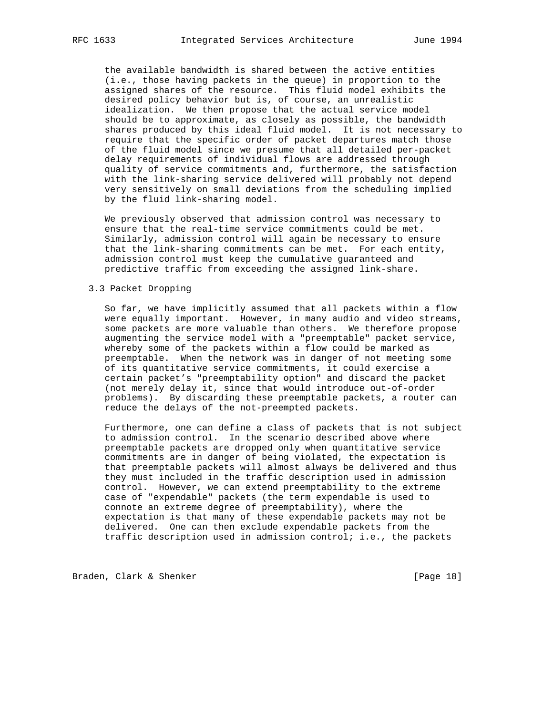the available bandwidth is shared between the active entities (i.e., those having packets in the queue) in proportion to the assigned shares of the resource. This fluid model exhibits the desired policy behavior but is, of course, an unrealistic idealization. We then propose that the actual service model should be to approximate, as closely as possible, the bandwidth shares produced by this ideal fluid model. It is not necessary to require that the specific order of packet departures match those of the fluid model since we presume that all detailed per-packet delay requirements of individual flows are addressed through quality of service commitments and, furthermore, the satisfaction with the link-sharing service delivered will probably not depend very sensitively on small deviations from the scheduling implied by the fluid link-sharing model.

 We previously observed that admission control was necessary to ensure that the real-time service commitments could be met. Similarly, admission control will again be necessary to ensure that the link-sharing commitments can be met. For each entity, admission control must keep the cumulative guaranteed and predictive traffic from exceeding the assigned link-share.

## 3.3 Packet Dropping

 So far, we have implicitly assumed that all packets within a flow were equally important. However, in many audio and video streams, some packets are more valuable than others. We therefore propose augmenting the service model with a "preemptable" packet service, whereby some of the packets within a flow could be marked as preemptable. When the network was in danger of not meeting some of its quantitative service commitments, it could exercise a certain packet's "preemptability option" and discard the packet (not merely delay it, since that would introduce out-of-order problems). By discarding these preemptable packets, a router can reduce the delays of the not-preempted packets.

 Furthermore, one can define a class of packets that is not subject to admission control. In the scenario described above where preemptable packets are dropped only when quantitative service commitments are in danger of being violated, the expectation is that preemptable packets will almost always be delivered and thus they must included in the traffic description used in admission control. However, we can extend preemptability to the extreme case of "expendable" packets (the term expendable is used to connote an extreme degree of preemptability), where the expectation is that many of these expendable packets may not be delivered. One can then exclude expendable packets from the traffic description used in admission control; i.e., the packets

Braden, Clark & Shenker [Page 18]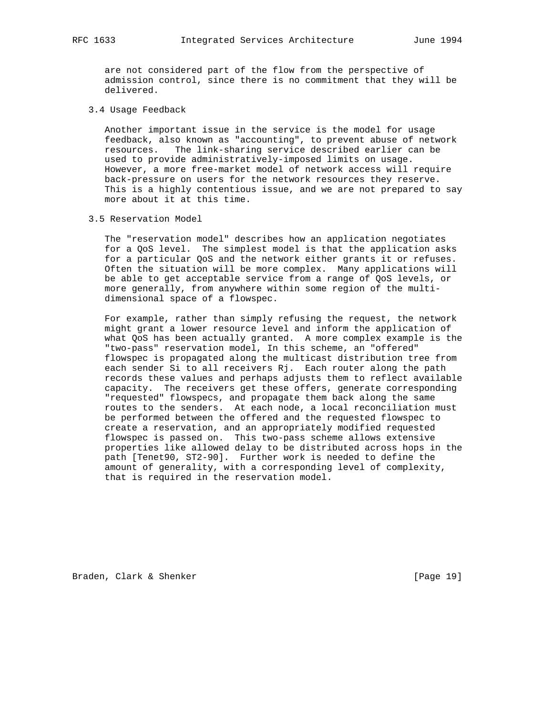are not considered part of the flow from the perspective of admission control, since there is no commitment that they will be delivered.

3.4 Usage Feedback

 Another important issue in the service is the model for usage feedback, also known as "accounting", to prevent abuse of network resources. The link-sharing service described earlier can be used to provide administratively-imposed limits on usage. However, a more free-market model of network access will require back-pressure on users for the network resources they reserve. This is a highly contentious issue, and we are not prepared to say more about it at this time.

3.5 Reservation Model

 The "reservation model" describes how an application negotiates for a QoS level. The simplest model is that the application asks for a particular QoS and the network either grants it or refuses. Often the situation will be more complex. Many applications will be able to get acceptable service from a range of QoS levels, or more generally, from anywhere within some region of the multi dimensional space of a flowspec.

 For example, rather than simply refusing the request, the network might grant a lower resource level and inform the application of what QoS has been actually granted. A more complex example is the "two-pass" reservation model, In this scheme, an "offered" flowspec is propagated along the multicast distribution tree from each sender Si to all receivers Rj. Each router along the path records these values and perhaps adjusts them to reflect available capacity. The receivers get these offers, generate corresponding "requested" flowspecs, and propagate them back along the same routes to the senders. At each node, a local reconciliation must be performed between the offered and the requested flowspec to create a reservation, and an appropriately modified requested flowspec is passed on. This two-pass scheme allows extensive properties like allowed delay to be distributed across hops in the path [Tenet90, ST2-90]. Further work is needed to define the amount of generality, with a corresponding level of complexity, that is required in the reservation model.

Braden, Clark & Shenker [Page 19]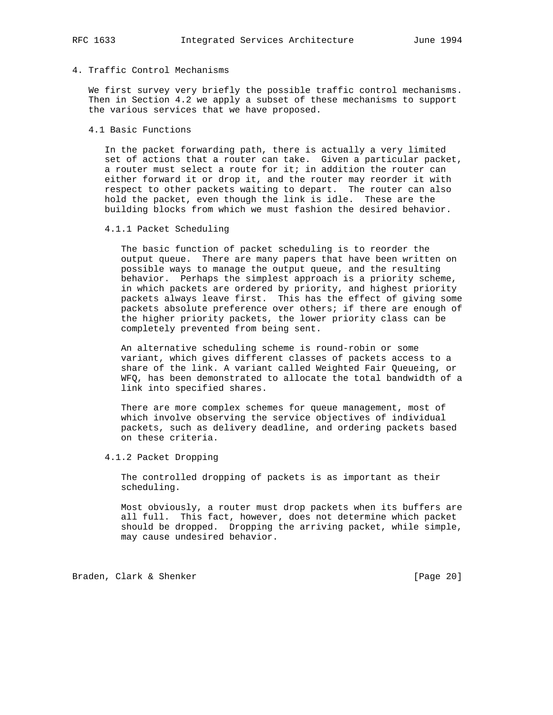# 4. Traffic Control Mechanisms

 We first survey very briefly the possible traffic control mechanisms. Then in Section 4.2 we apply a subset of these mechanisms to support the various services that we have proposed.

## 4.1 Basic Functions

 In the packet forwarding path, there is actually a very limited set of actions that a router can take. Given a particular packet, a router must select a route for it; in addition the router can either forward it or drop it, and the router may reorder it with respect to other packets waiting to depart. The router can also hold the packet, even though the link is idle. These are the building blocks from which we must fashion the desired behavior.

## 4.1.1 Packet Scheduling

 The basic function of packet scheduling is to reorder the output queue. There are many papers that have been written on possible ways to manage the output queue, and the resulting behavior. Perhaps the simplest approach is a priority scheme, in which packets are ordered by priority, and highest priority packets always leave first. This has the effect of giving some packets absolute preference over others; if there are enough of the higher priority packets, the lower priority class can be completely prevented from being sent.

 An alternative scheduling scheme is round-robin or some variant, which gives different classes of packets access to a share of the link. A variant called Weighted Fair Queueing, or WFQ, has been demonstrated to allocate the total bandwidth of a link into specified shares.

 There are more complex schemes for queue management, most of which involve observing the service objectives of individual packets, such as delivery deadline, and ordering packets based on these criteria.

4.1.2 Packet Dropping

 The controlled dropping of packets is as important as their scheduling.

 Most obviously, a router must drop packets when its buffers are all full. This fact, however, does not determine which packet should be dropped. Dropping the arriving packet, while simple, may cause undesired behavior.

Braden, Clark & Shenker [Page 20]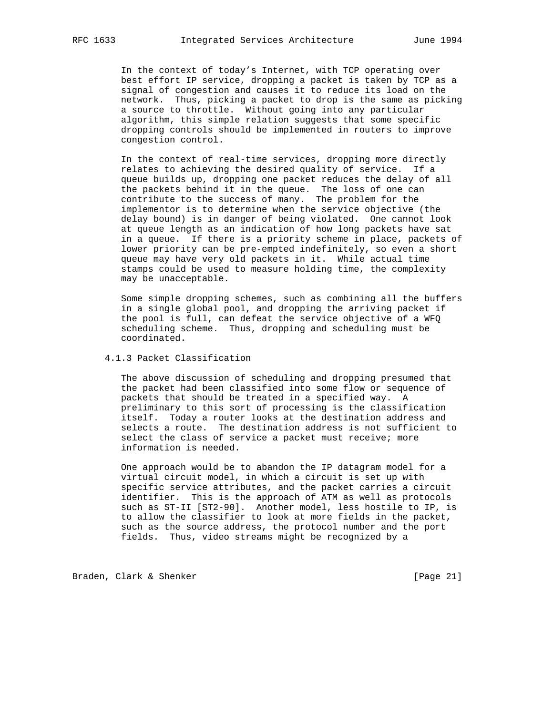In the context of today's Internet, with TCP operating over best effort IP service, dropping a packet is taken by TCP as a signal of congestion and causes it to reduce its load on the network. Thus, picking a packet to drop is the same as picking a source to throttle. Without going into any particular algorithm, this simple relation suggests that some specific dropping controls should be implemented in routers to improve congestion control.

 In the context of real-time services, dropping more directly relates to achieving the desired quality of service. If a queue builds up, dropping one packet reduces the delay of all the packets behind it in the queue. The loss of one can contribute to the success of many. The problem for the implementor is to determine when the service objective (the delay bound) is in danger of being violated. One cannot look at queue length as an indication of how long packets have sat in a queue. If there is a priority scheme in place, packets of lower priority can be pre-empted indefinitely, so even a short queue may have very old packets in it. While actual time stamps could be used to measure holding time, the complexity may be unacceptable.

 Some simple dropping schemes, such as combining all the buffers in a single global pool, and dropping the arriving packet if the pool is full, can defeat the service objective of a WFQ scheduling scheme. Thus, dropping and scheduling must be coordinated.

# 4.1.3 Packet Classification

 The above discussion of scheduling and dropping presumed that the packet had been classified into some flow or sequence of packets that should be treated in a specified way. A preliminary to this sort of processing is the classification itself. Today a router looks at the destination address and selects a route. The destination address is not sufficient to select the class of service a packet must receive; more information is needed.

 One approach would be to abandon the IP datagram model for a virtual circuit model, in which a circuit is set up with specific service attributes, and the packet carries a circuit identifier. This is the approach of ATM as well as protocols such as ST-II [ST2-90]. Another model, less hostile to IP, is to allow the classifier to look at more fields in the packet, such as the source address, the protocol number and the port fields. Thus, video streams might be recognized by a

Braden, Clark & Shenker [Page 21]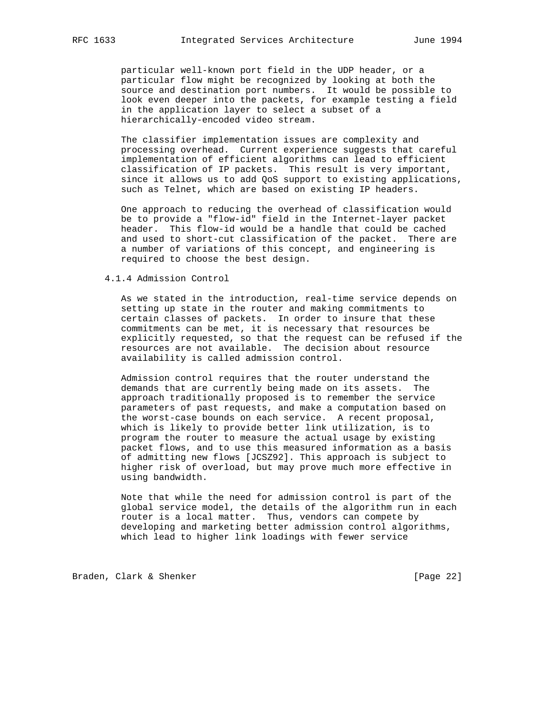particular well-known port field in the UDP header, or a particular flow might be recognized by looking at both the source and destination port numbers. It would be possible to look even deeper into the packets, for example testing a field in the application layer to select a subset of a hierarchically-encoded video stream.

 The classifier implementation issues are complexity and processing overhead. Current experience suggests that careful implementation of efficient algorithms can lead to efficient classification of IP packets. This result is very important, since it allows us to add QoS support to existing applications, such as Telnet, which are based on existing IP headers.

 One approach to reducing the overhead of classification would be to provide a "flow-id" field in the Internet-layer packet header. This flow-id would be a handle that could be cached and used to short-cut classification of the packet. There are a number of variations of this concept, and engineering is required to choose the best design.

### 4.1.4 Admission Control

 As we stated in the introduction, real-time service depends on setting up state in the router and making commitments to certain classes of packets. In order to insure that these commitments can be met, it is necessary that resources be explicitly requested, so that the request can be refused if the resources are not available. The decision about resource availability is called admission control.

 Admission control requires that the router understand the demands that are currently being made on its assets. The approach traditionally proposed is to remember the service parameters of past requests, and make a computation based on the worst-case bounds on each service. A recent proposal, which is likely to provide better link utilization, is to program the router to measure the actual usage by existing packet flows, and to use this measured information as a basis of admitting new flows [JCSZ92]. This approach is subject to higher risk of overload, but may prove much more effective in using bandwidth.

 Note that while the need for admission control is part of the global service model, the details of the algorithm run in each router is a local matter. Thus, vendors can compete by developing and marketing better admission control algorithms, which lead to higher link loadings with fewer service

Braden, Clark & Shenker [Page 22]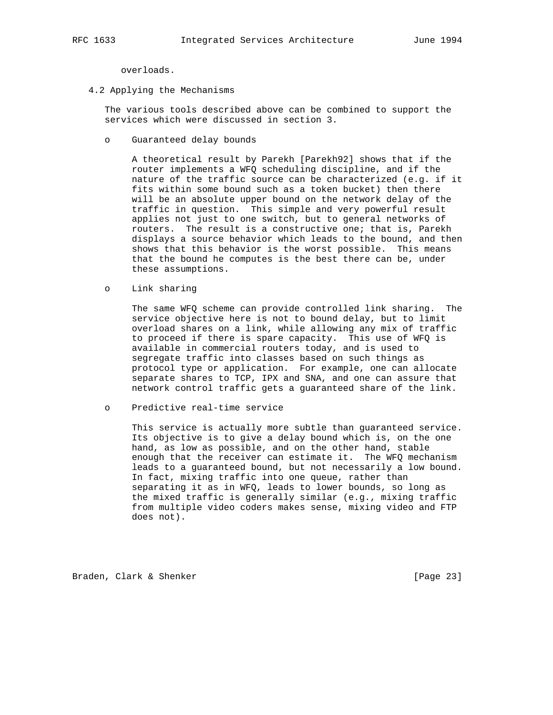overloads.

4.2 Applying the Mechanisms

 The various tools described above can be combined to support the services which were discussed in section 3.

o Guaranteed delay bounds

 A theoretical result by Parekh [Parekh92] shows that if the router implements a WFQ scheduling discipline, and if the nature of the traffic source can be characterized (e.g. if it fits within some bound such as a token bucket) then there will be an absolute upper bound on the network delay of the traffic in question. This simple and very powerful result applies not just to one switch, but to general networks of routers. The result is a constructive one; that is, Parekh displays a source behavior which leads to the bound, and then shows that this behavior is the worst possible. This means that the bound he computes is the best there can be, under these assumptions.

o Link sharing

 The same WFQ scheme can provide controlled link sharing. The service objective here is not to bound delay, but to limit overload shares on a link, while allowing any mix of traffic to proceed if there is spare capacity. This use of WFQ is available in commercial routers today, and is used to segregate traffic into classes based on such things as protocol type or application. For example, one can allocate separate shares to TCP, IPX and SNA, and one can assure that network control traffic gets a guaranteed share of the link.

o Predictive real-time service

 This service is actually more subtle than guaranteed service. Its objective is to give a delay bound which is, on the one hand, as low as possible, and on the other hand, stable enough that the receiver can estimate it. The WFQ mechanism leads to a guaranteed bound, but not necessarily a low bound. In fact, mixing traffic into one queue, rather than separating it as in WFQ, leads to lower bounds, so long as the mixed traffic is generally similar (e.g., mixing traffic from multiple video coders makes sense, mixing video and FTP does not).

Braden, Clark & Shenker [Page 23]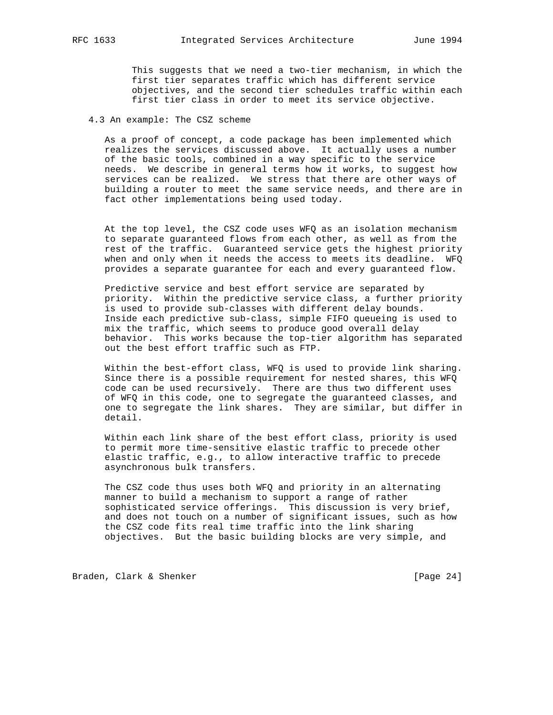This suggests that we need a two-tier mechanism, in which the first tier separates traffic which has different service objectives, and the second tier schedules traffic within each first tier class in order to meet its service objective.

## 4.3 An example: The CSZ scheme

 As a proof of concept, a code package has been implemented which realizes the services discussed above. It actually uses a number of the basic tools, combined in a way specific to the service needs. We describe in general terms how it works, to suggest how services can be realized. We stress that there are other ways of building a router to meet the same service needs, and there are in fact other implementations being used today.

 At the top level, the CSZ code uses WFQ as an isolation mechanism to separate guaranteed flows from each other, as well as from the rest of the traffic. Guaranteed service gets the highest priority when and only when it needs the access to meets its deadline. WFQ provides a separate guarantee for each and every guaranteed flow.

 Predictive service and best effort service are separated by priority. Within the predictive service class, a further priority is used to provide sub-classes with different delay bounds. Inside each predictive sub-class, simple FIFO queueing is used to mix the traffic, which seems to produce good overall delay behavior. This works because the top-tier algorithm has separated out the best effort traffic such as FTP.

 Within the best-effort class, WFQ is used to provide link sharing. Since there is a possible requirement for nested shares, this WFQ code can be used recursively. There are thus two different uses of WFQ in this code, one to segregate the guaranteed classes, and one to segregate the link shares. They are similar, but differ in detail.

 Within each link share of the best effort class, priority is used to permit more time-sensitive elastic traffic to precede other elastic traffic, e.g., to allow interactive traffic to precede asynchronous bulk transfers.

 The CSZ code thus uses both WFQ and priority in an alternating manner to build a mechanism to support a range of rather sophisticated service offerings. This discussion is very brief, and does not touch on a number of significant issues, such as how the CSZ code fits real time traffic into the link sharing objectives. But the basic building blocks are very simple, and

Braden, Clark & Shenker [Page 24]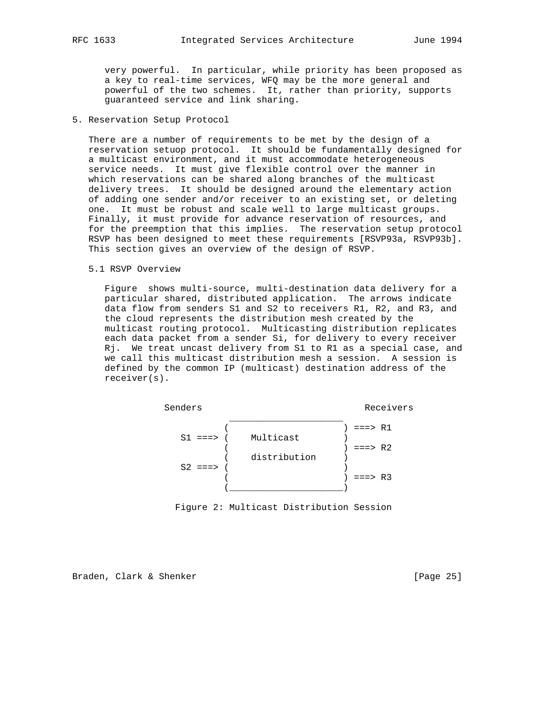very powerful. In particular, while priority has been proposed as a key to real-time services, WFQ may be the more general and powerful of the two schemes. It, rather than priority, supports guaranteed service and link sharing.

## 5. Reservation Setup Protocol

 There are a number of requirements to be met by the design of a reservation setuop protocol. It should be fundamentally designed for a multicast environment, and it must accommodate heterogeneous service needs. It must give flexible control over the manner in which reservations can be shared along branches of the multicast delivery trees. It should be designed around the elementary action of adding one sender and/or receiver to an existing set, or deleting one. It must be robust and scale well to large multicast groups. Finally, it must provide for advance reservation of resources, and for the preemption that this implies. The reservation setup protocol RSVP has been designed to meet these requirements [RSVP93a, RSVP93b]. This section gives an overview of the design of RSVP.

### 5.1 RSVP Overview

 Figure shows multi-source, multi-destination data delivery for a particular shared, distributed application. The arrows indicate data flow from senders S1 and S2 to receivers R1, R2, and R3, and the cloud represents the distribution mesh created by the multicast routing protocol. Multicasting distribution replicates each data packet from a sender Si, for delivery to every receiver Rj. We treat uncast delivery from S1 to R1 as a special case, and we call this multicast distribution mesh a session. A session is defined by the common IP (multicast) destination address of the receiver(s).



Figure 2: Multicast Distribution Session

Braden, Clark & Shenker [Page 25]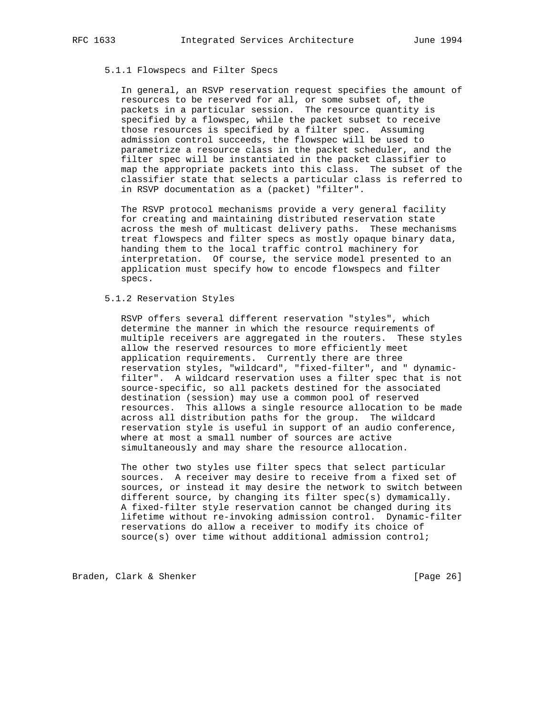### 5.1.1 Flowspecs and Filter Specs

 In general, an RSVP reservation request specifies the amount of resources to be reserved for all, or some subset of, the packets in a particular session. The resource quantity is specified by a flowspec, while the packet subset to receive those resources is specified by a filter spec. Assuming admission control succeeds, the flowspec will be used to parametrize a resource class in the packet scheduler, and the filter spec will be instantiated in the packet classifier to map the appropriate packets into this class. The subset of the classifier state that selects a particular class is referred to in RSVP documentation as a (packet) "filter".

 The RSVP protocol mechanisms provide a very general facility for creating and maintaining distributed reservation state across the mesh of multicast delivery paths. These mechanisms treat flowspecs and filter specs as mostly opaque binary data, handing them to the local traffic control machinery for interpretation. Of course, the service model presented to an application must specify how to encode flowspecs and filter specs.

## 5.1.2 Reservation Styles

 RSVP offers several different reservation "styles", which determine the manner in which the resource requirements of multiple receivers are aggregated in the routers. These styles allow the reserved resources to more efficiently meet application requirements. Currently there are three reservation styles, "wildcard", "fixed-filter", and " dynamic filter". A wildcard reservation uses a filter spec that is not source-specific, so all packets destined for the associated destination (session) may use a common pool of reserved resources. This allows a single resource allocation to be made across all distribution paths for the group. The wildcard reservation style is useful in support of an audio conference, where at most a small number of sources are active simultaneously and may share the resource allocation.

 The other two styles use filter specs that select particular sources. A receiver may desire to receive from a fixed set of sources, or instead it may desire the network to switch between different source, by changing its filter spec(s) dymamically. A fixed-filter style reservation cannot be changed during its lifetime without re-invoking admission control. Dynamic-filter reservations do allow a receiver to modify its choice of source(s) over time without additional admission control;

Braden, Clark & Shenker [Page 26]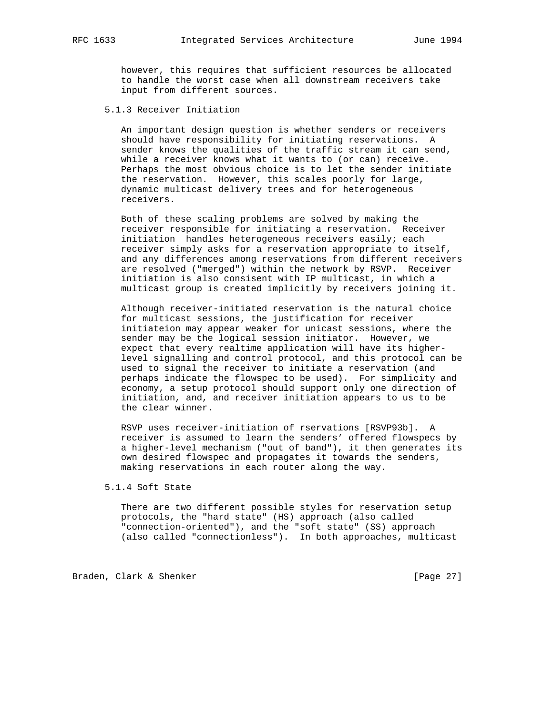however, this requires that sufficient resources be allocated to handle the worst case when all downstream receivers take input from different sources.

# 5.1.3 Receiver Initiation

 An important design question is whether senders or receivers should have responsibility for initiating reservations. A sender knows the qualities of the traffic stream it can send, while a receiver knows what it wants to (or can) receive. Perhaps the most obvious choice is to let the sender initiate the reservation. However, this scales poorly for large, dynamic multicast delivery trees and for heterogeneous receivers.

 Both of these scaling problems are solved by making the receiver responsible for initiating a reservation. Receiver initiation handles heterogeneous receivers easily; each receiver simply asks for a reservation appropriate to itself, and any differences among reservations from different receivers are resolved ("merged") within the network by RSVP. Receiver initiation is also consisent with IP multicast, in which a multicast group is created implicitly by receivers joining it.

 Although receiver-initiated reservation is the natural choice for multicast sessions, the justification for receiver initiateion may appear weaker for unicast sessions, where the sender may be the logical session initiator. However, we expect that every realtime application will have its higher level signalling and control protocol, and this protocol can be used to signal the receiver to initiate a reservation (and perhaps indicate the flowspec to be used). For simplicity and economy, a setup protocol should support only one direction of initiation, and, and receiver initiation appears to us to be the clear winner.

 RSVP uses receiver-initiation of rservations [RSVP93b]. A receiver is assumed to learn the senders' offered flowspecs by a higher-level mechanism ("out of band"), it then generates its own desired flowspec and propagates it towards the senders, making reservations in each router along the way.

# 5.1.4 Soft State

 There are two different possible styles for reservation setup protocols, the "hard state" (HS) approach (also called "connection-oriented"), and the "soft state" (SS) approach (also called "connectionless"). In both approaches, multicast

Braden, Clark & Shenker [Page 27]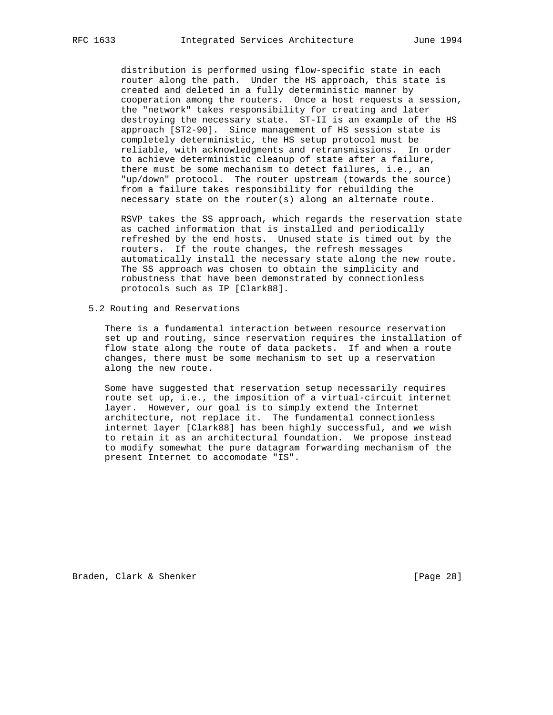distribution is performed using flow-specific state in each router along the path. Under the HS approach, this state is created and deleted in a fully deterministic manner by cooperation among the routers. Once a host requests a session, the "network" takes responsibility for creating and later destroying the necessary state. ST-II is an example of the HS approach [ST2-90]. Since management of HS session state is completely deterministic, the HS setup protocol must be reliable, with acknowledgments and retransmissions. In order to achieve deterministic cleanup of state after a failure, there must be some mechanism to detect failures, i.e., an "up/down" protocol. The router upstream (towards the source) from a failure takes responsibility for rebuilding the necessary state on the router(s) along an alternate route.

 RSVP takes the SS approach, which regards the reservation state as cached information that is installed and periodically refreshed by the end hosts. Unused state is timed out by the routers. If the route changes, the refresh messages automatically install the necessary state along the new route. The SS approach was chosen to obtain the simplicity and robustness that have been demonstrated by connectionless protocols such as IP [Clark88].

5.2 Routing and Reservations

 There is a fundamental interaction between resource reservation set up and routing, since reservation requires the installation of flow state along the route of data packets. If and when a route changes, there must be some mechanism to set up a reservation along the new route.

 Some have suggested that reservation setup necessarily requires route set up, i.e., the imposition of a virtual-circuit internet layer. However, our goal is to simply extend the Internet architecture, not replace it. The fundamental connectionless internet layer [Clark88] has been highly successful, and we wish to retain it as an architectural foundation. We propose instead to modify somewhat the pure datagram forwarding mechanism of the present Internet to accomodate "IS".

Braden, Clark & Shenker [Page 28]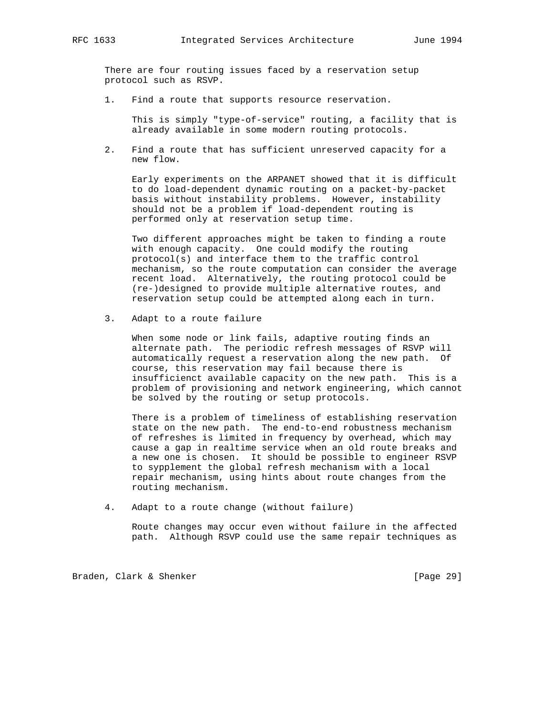There are four routing issues faced by a reservation setup protocol such as RSVP.

1. Find a route that supports resource reservation.

 This is simply "type-of-service" routing, a facility that is already available in some modern routing protocols.

 2. Find a route that has sufficient unreserved capacity for a new flow.

 Early experiments on the ARPANET showed that it is difficult to do load-dependent dynamic routing on a packet-by-packet basis without instability problems. However, instability should not be a problem if load-dependent routing is performed only at reservation setup time.

 Two different approaches might be taken to finding a route with enough capacity. One could modify the routing protocol(s) and interface them to the traffic control mechanism, so the route computation can consider the average recent load. Alternatively, the routing protocol could be (re-)designed to provide multiple alternative routes, and reservation setup could be attempted along each in turn.

3. Adapt to a route failure

 When some node or link fails, adaptive routing finds an alternate path. The periodic refresh messages of RSVP will automatically request a reservation along the new path. Of course, this reservation may fail because there is insufficienct available capacity on the new path. This is a problem of provisioning and network engineering, which cannot be solved by the routing or setup protocols.

 There is a problem of timeliness of establishing reservation state on the new path. The end-to-end robustness mechanism of refreshes is limited in frequency by overhead, which may cause a gap in realtime service when an old route breaks and a new one is chosen. It should be possible to engineer RSVP to sypplement the global refresh mechanism with a local repair mechanism, using hints about route changes from the routing mechanism.

4. Adapt to a route change (without failure)

 Route changes may occur even without failure in the affected path. Although RSVP could use the same repair techniques as

Braden, Clark & Shenker [Page 29]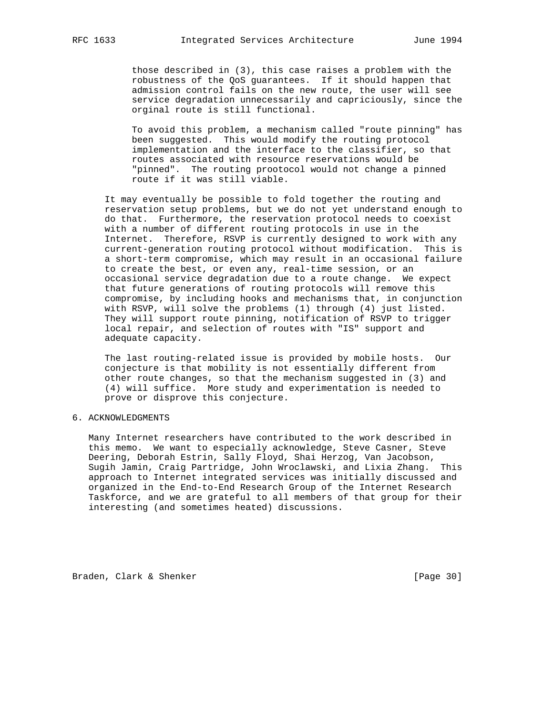those described in (3), this case raises a problem with the robustness of the QoS guarantees. If it should happen that admission control fails on the new route, the user will see service degradation unnecessarily and capriciously, since the orginal route is still functional.

> To avoid this problem, a mechanism called "route pinning" has been suggested. This would modify the routing protocol implementation and the interface to the classifier, so that routes associated with resource reservations would be "pinned". The routing prootocol would not change a pinned route if it was still viable.

 It may eventually be possible to fold together the routing and reservation setup problems, but we do not yet understand enough to do that. Furthermore, the reservation protocol needs to coexist with a number of different routing protocols in use in the Internet. Therefore, RSVP is currently designed to work with any current-generation routing protocol without modification. This is a short-term compromise, which may result in an occasional failure to create the best, or even any, real-time session, or an occasional service degradation due to a route change. We expect that future generations of routing protocols will remove this compromise, by including hooks and mechanisms that, in conjunction with RSVP, will solve the problems (1) through (4) just listed. They will support route pinning, notification of RSVP to trigger local repair, and selection of routes with "IS" support and adequate capacity.

 The last routing-related issue is provided by mobile hosts. Our conjecture is that mobility is not essentially different from other route changes, so that the mechanism suggested in (3) and (4) will suffice. More study and experimentation is needed to prove or disprove this conjecture.

## 6. ACKNOWLEDGMENTS

 Many Internet researchers have contributed to the work described in this memo. We want to especially acknowledge, Steve Casner, Steve Deering, Deborah Estrin, Sally Floyd, Shai Herzog, Van Jacobson, Sugih Jamin, Craig Partridge, John Wroclawski, and Lixia Zhang. This approach to Internet integrated services was initially discussed and organized in the End-to-End Research Group of the Internet Research Taskforce, and we are grateful to all members of that group for their interesting (and sometimes heated) discussions.

Braden, Clark & Shenker [Page 30]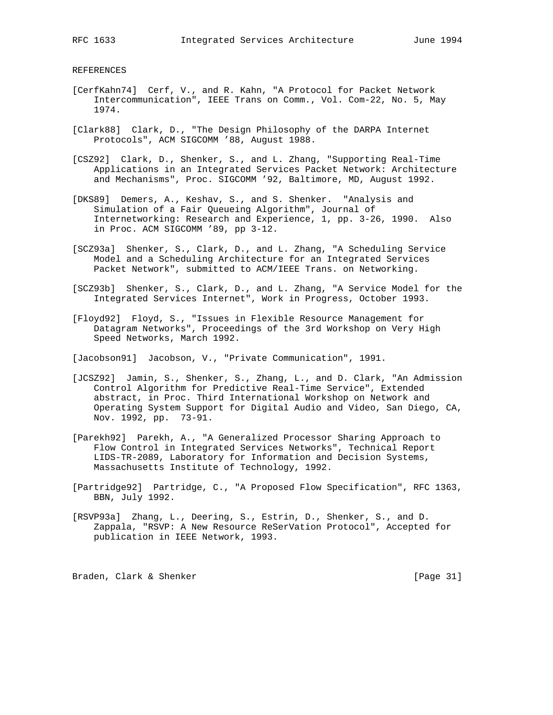REFERENCES

- [CerfKahn74] Cerf, V., and R. Kahn, "A Protocol for Packet Network Intercommunication", IEEE Trans on Comm., Vol. Com-22, No. 5, May 1974.
- [Clark88] Clark, D., "The Design Philosophy of the DARPA Internet Protocols", ACM SIGCOMM '88, August 1988.
- [CSZ92] Clark, D., Shenker, S., and L. Zhang, "Supporting Real-Time Applications in an Integrated Services Packet Network: Architecture and Mechanisms", Proc. SIGCOMM '92, Baltimore, MD, August 1992.
- [DKS89] Demers, A., Keshav, S., and S. Shenker. "Analysis and Simulation of a Fair Queueing Algorithm", Journal of Internetworking: Research and Experience, 1, pp. 3-26, 1990. Also in Proc. ACM SIGCOMM '89, pp 3-12.
- [SCZ93a] Shenker, S., Clark, D., and L. Zhang, "A Scheduling Service Model and a Scheduling Architecture for an Integrated Services Packet Network", submitted to ACM/IEEE Trans. on Networking.
- [SCZ93b] Shenker, S., Clark, D., and L. Zhang, "A Service Model for the Integrated Services Internet", Work in Progress, October 1993.
- [Floyd92] Floyd, S., "Issues in Flexible Resource Management for Datagram Networks", Proceedings of the 3rd Workshop on Very High Speed Networks, March 1992.

[Jacobson91] Jacobson, V., "Private Communication", 1991.

- [JCSZ92] Jamin, S., Shenker, S., Zhang, L., and D. Clark, "An Admission Control Algorithm for Predictive Real-Time Service", Extended abstract, in Proc. Third International Workshop on Network and Operating System Support for Digital Audio and Video, San Diego, CA, Nov. 1992, pp. 73-91.
- [Parekh92] Parekh, A., "A Generalized Processor Sharing Approach to Flow Control in Integrated Services Networks", Technical Report LIDS-TR-2089, Laboratory for Information and Decision Systems, Massachusetts Institute of Technology, 1992.
- [Partridge92] Partridge, C., "A Proposed Flow Specification", RFC 1363, BBN, July 1992.
- [RSVP93a] Zhang, L., Deering, S., Estrin, D., Shenker, S., and D. Zappala, "RSVP: A New Resource ReSerVation Protocol", Accepted for publication in IEEE Network, 1993.

Braden, Clark & Shenker [Page 31]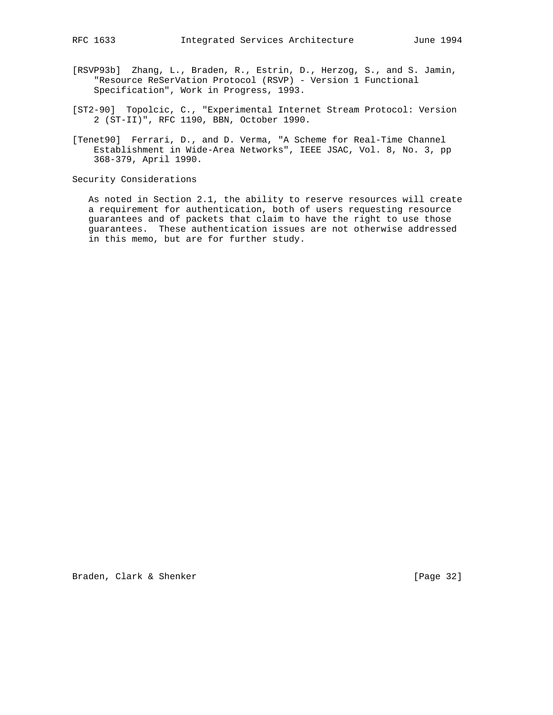- [RSVP93b] Zhang, L., Braden, R., Estrin, D., Herzog, S., and S. Jamin, "Resource ReSerVation Protocol (RSVP) - Version 1 Functional Specification", Work in Progress, 1993.
- [ST2-90] Topolcic, C., "Experimental Internet Stream Protocol: Version 2 (ST-II)", RFC 1190, BBN, October 1990.
- [Tenet90] Ferrari, D., and D. Verma, "A Scheme for Real-Time Channel Establishment in Wide-Area Networks", IEEE JSAC, Vol. 8, No. 3, pp 368-379, April 1990.

Security Considerations

 As noted in Section 2.1, the ability to reserve resources will create a requirement for authentication, both of users requesting resource guarantees and of packets that claim to have the right to use those guarantees. These authentication issues are not otherwise addressed in this memo, but are for further study.

Braden, Clark & Shenker [Page 32]